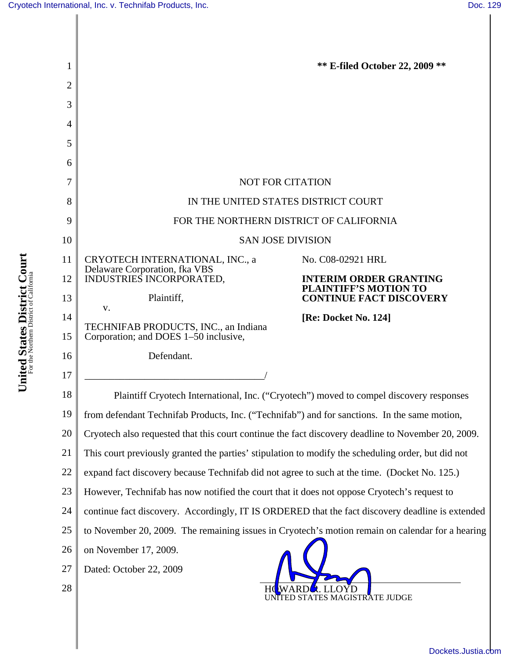$\mathsf{l}$ 

| 1              | <b>** E-filed October 22, 2009 **</b>                                                              |  |  |
|----------------|----------------------------------------------------------------------------------------------------|--|--|
| $\overline{2}$ |                                                                                                    |  |  |
| 3              |                                                                                                    |  |  |
| 4              |                                                                                                    |  |  |
| 5              |                                                                                                    |  |  |
| 6              |                                                                                                    |  |  |
| 7              | <b>NOT FOR CITATION</b>                                                                            |  |  |
| 8              | IN THE UNITED STATES DISTRICT COURT                                                                |  |  |
| 9              | FOR THE NORTHERN DISTRICT OF CALIFORNIA                                                            |  |  |
| 10             | <b>SAN JOSE DIVISION</b>                                                                           |  |  |
| 11             | CRYOTECH INTERNATIONAL, INC., a<br>No. C08-02921 HRL<br>Delaware Corporation, fka VBS              |  |  |
| 12             | INDUSTRIES INCORPORATED,<br><b>INTERIM ORDER GRANTING</b><br><b>PLAINTIFF'S MOTION TO</b>          |  |  |
| 13             | Plaintiff,<br><b>CONTINUE FACT DISCOVERY</b><br>V.                                                 |  |  |
| 14             | [Re: Docket No. 124]<br>TECHNIFAB PRODUCTS, INC., an Indiana                                       |  |  |
| 15             | Corporation; and DOES 1-50 inclusive,                                                              |  |  |
| 16             | Defendant.                                                                                         |  |  |
| 17             |                                                                                                    |  |  |
| 18             | Plaintiff Cryotech International, Inc. ("Cryotech") moved to compel discovery responses            |  |  |
| 19             | from defendant Technifab Products, Inc. ("Technifab") and for sanctions. In the same motion,       |  |  |
| 20             | Cryotech also requested that this court continue the fact discovery deadline to November 20, 2009. |  |  |
| 21             | This court previously granted the parties' stipulation to modify the scheduling order, but did not |  |  |
| 22             | expand fact discovery because Technifab did not agree to such at the time. (Docket No. 125.)       |  |  |
| 23             | However, Technifab has now notified the court that it does not oppose Cryotech's request to        |  |  |
| 24             | continue fact discovery. Accordingly, IT IS ORDERED that the fact discovery deadline is extended   |  |  |
| 25             | to November 20, 2009. The remaining issues in Cryotech's motion remain on calendar for a hearing   |  |  |
| 26             | on November 17, 2009.                                                                              |  |  |
| 27             | Dated: October 22, 2009                                                                            |  |  |
| 28             | UNITED STATES MAGISTRATE JUDGE                                                                     |  |  |
|                |                                                                                                    |  |  |